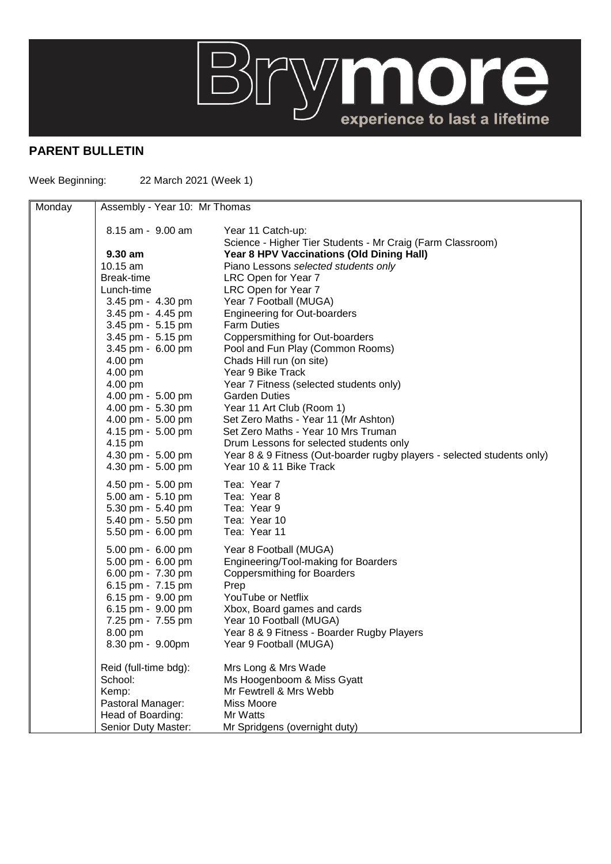

## **PARENT BULLETIN**

Week Beginning: 22 March 2021 (Week 1)

| Monday | Assembly - Year 10: Mr Thomas |                                                                                 |
|--------|-------------------------------|---------------------------------------------------------------------------------|
|        | 8.15 am - 9.00 am             | Year 11 Catch-up:<br>Science - Higher Tier Students - Mr Craig (Farm Classroom) |
|        | $9.30$ am                     | Year 8 HPV Vaccinations (Old Dining Hall)                                       |
|        | 10.15 am                      | Piano Lessons selected students only                                            |
|        | Break-time                    | LRC Open for Year 7                                                             |
|        | Lunch-time                    | LRC Open for Year 7                                                             |
|        | 3.45 pm - 4.30 pm             | Year 7 Football (MUGA)                                                          |
|        | 3.45 pm - 4.45 pm             | <b>Engineering for Out-boarders</b>                                             |
|        | 3.45 pm - 5.15 pm             | <b>Farm Duties</b>                                                              |
|        | 3.45 pm - 5.15 pm             | Coppersmithing for Out-boarders                                                 |
|        | 3.45 pm - 6.00 pm             | Pool and Fun Play (Common Rooms)                                                |
|        | 4.00 pm                       | Chads Hill run (on site)                                                        |
|        | 4.00 pm                       | Year 9 Bike Track                                                               |
|        | 4.00 pm                       | Year 7 Fitness (selected students only)                                         |
|        | 4.00 pm - 5.00 pm             | <b>Garden Duties</b>                                                            |
|        | 4.00 pm - 5.30 pm             | Year 11 Art Club (Room 1)                                                       |
|        | 4.00 pm - 5.00 pm             | Set Zero Maths - Year 11 (Mr Ashton)                                            |
|        | 4.15 pm - 5.00 pm             | Set Zero Maths - Year 10 Mrs Truman                                             |
|        | 4.15 pm                       | Drum Lessons for selected students only                                         |
|        | 4.30 pm - 5.00 pm             | Year 8 & 9 Fitness (Out-boarder rugby players - selected students only)         |
|        | 4.30 pm - 5.00 pm             | Year 10 & 11 Bike Track                                                         |
|        | 4.50 pm - 5.00 pm             | Tea: Year 7                                                                     |
|        | 5.00 am - 5.10 pm             | Tea: Year 8                                                                     |
|        | 5.30 pm - 5.40 pm             | Tea: Year 9                                                                     |
|        | 5.40 pm - 5.50 pm             | Tea: Year 10                                                                    |
|        | 5.50 pm - 6.00 pm             | Tea: Year 11                                                                    |
|        | 5.00 pm - 6.00 pm             | Year 8 Football (MUGA)                                                          |
|        | 5.00 pm - 6.00 pm             | Engineering/Tool-making for Boarders                                            |
|        | 6.00 pm - 7.30 pm             | <b>Coppersmithing for Boarders</b>                                              |
|        | 6.15 pm - 7.15 pm             | Prep                                                                            |
|        | 6.15 pm - 9.00 pm             | YouTube or Netflix                                                              |
|        | 6.15 pm - 9.00 pm             | Xbox, Board games and cards                                                     |
|        | 7.25 pm - 7.55 pm             | Year 10 Football (MUGA)                                                         |
|        | 8.00 pm                       | Year 8 & 9 Fitness - Boarder Rugby Players                                      |
|        | 8.30 pm - 9.00pm              | Year 9 Football (MUGA)                                                          |
|        | Reid (full-time bdg):         | Mrs Long & Mrs Wade                                                             |
|        | School:                       | Ms Hoogenboom & Miss Gyatt                                                      |
|        | Kemp:                         | Mr Fewtrell & Mrs Webb                                                          |
|        | Pastoral Manager:             | Miss Moore                                                                      |
|        | Head of Boarding:             | Mr Watts                                                                        |
|        | Senior Duty Master:           | Mr Spridgens (overnight duty)                                                   |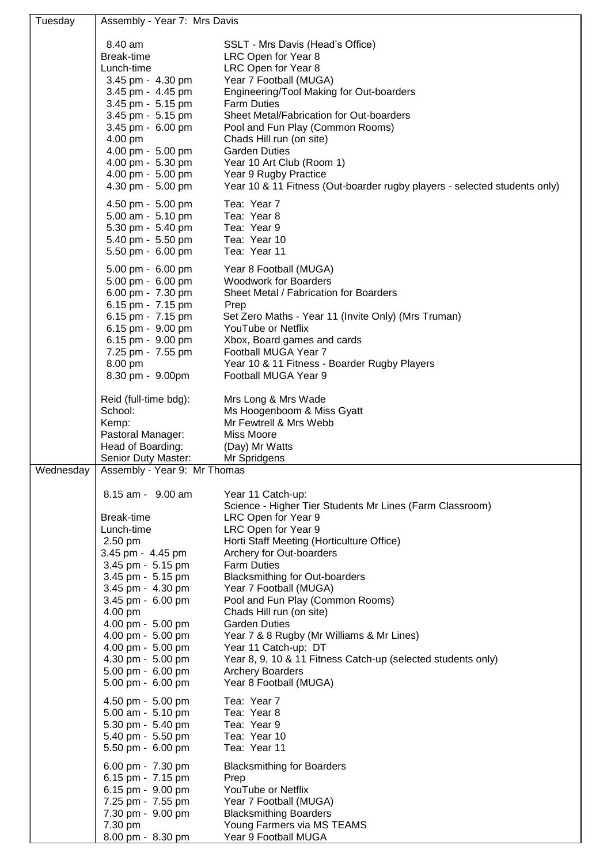| Tuesday   | Assembly - Year 7: Mrs Davis                                                                          |                                                                                                                                                                            |  |
|-----------|-------------------------------------------------------------------------------------------------------|----------------------------------------------------------------------------------------------------------------------------------------------------------------------------|--|
|           | 8.40 am<br>Break-time<br>Lunch-time<br>3.45 pm - 4.30 pm                                              | SSLT - Mrs Davis (Head's Office)<br>LRC Open for Year 8<br>LRC Open for Year 8<br>Year 7 Football (MUGA)                                                                   |  |
|           | 3.45 pm - 4.45 pm<br>3.45 pm - 5.15 pm<br>3.45 pm - 5.15 pm<br>3.45 pm - 6.00 pm<br>4.00 pm           | Engineering/Tool Making for Out-boarders<br><b>Farm Duties</b><br>Sheet Metal/Fabrication for Out-boarders<br>Pool and Fun Play (Common Rooms)<br>Chads Hill run (on site) |  |
|           | 4.00 pm - 5.00 pm<br>4.00 pm - 5.30 pm<br>4.00 pm - 5.00 pm<br>4.30 pm - 5.00 pm                      | <b>Garden Duties</b><br>Year 10 Art Club (Room 1)<br>Year 9 Rugby Practice<br>Year 10 & 11 Fitness (Out-boarder rugby players - selected students only)                    |  |
|           | 4.50 pm - 5.00 pm<br>5.00 am - 5.10 pm<br>5.30 pm - 5.40 pm<br>5.40 pm - 5.50 pm<br>5.50 pm - 6.00 pm | Tea: Year 7<br>Tea: Year 8<br>Tea: Year 9<br>Tea: Year 10<br>Tea: Year 11                                                                                                  |  |
|           | 5.00 pm - 6.00 pm<br>5.00 pm - 6.00 pm<br>6.00 pm - 7.30 pm<br>6.15 pm - 7.15 pm                      | Year 8 Football (MUGA)<br><b>Woodwork for Boarders</b><br>Sheet Metal / Fabrication for Boarders<br>Prep                                                                   |  |
|           | 6.15 pm - 7.15 pm<br>6.15 pm - 9.00 pm<br>6.15 pm - 9.00 pm<br>7.25 pm - 7.55 pm                      | Set Zero Maths - Year 11 (Invite Only) (Mrs Truman)<br>YouTube or Netflix<br>Xbox, Board games and cards<br>Football MUGA Year 7                                           |  |
|           | 8.00 pm<br>8.30 pm - 9.00pm                                                                           | Year 10 & 11 Fitness - Boarder Rugby Players<br>Football MUGA Year 9                                                                                                       |  |
|           | Reid (full-time bdg):<br>School:<br>Kemp:<br>Pastoral Manager:                                        | Mrs Long & Mrs Wade<br>Ms Hoogenboom & Miss Gyatt<br>Mr Fewtrell & Mrs Webb<br><b>Miss Moore</b>                                                                           |  |
|           | Head of Boarding:<br>Senior Duty Master:                                                              | (Day) Mr Watts<br>Mr Spridgens                                                                                                                                             |  |
| Wednesday | Assembly - Year 9: Mr Thomas                                                                          |                                                                                                                                                                            |  |
|           | 8.15 am - 9.00 am                                                                                     | Year 11 Catch-up:<br>Science - Higher Tier Students Mr Lines (Farm Classroom)                                                                                              |  |
|           | Break-time<br>Lunch-time                                                                              | LRC Open for Year 9                                                                                                                                                        |  |
|           |                                                                                                       |                                                                                                                                                                            |  |
|           | 2.50 pm                                                                                               | LRC Open for Year 9<br>Horti Staff Meeting (Horticulture Office)                                                                                                           |  |
|           | 3.45 pm - 4.45 pm<br>3.45 pm - 5.15 pm                                                                | Archery for Out-boarders<br><b>Farm Duties</b>                                                                                                                             |  |
|           | 3.45 pm - 5.15 pm                                                                                     | <b>Blacksmithing for Out-boarders</b>                                                                                                                                      |  |
|           | 3.45 pm - 4.30 pm<br>3.45 pm - 6.00 pm                                                                | Year 7 Football (MUGA)<br>Pool and Fun Play (Common Rooms)                                                                                                                 |  |
|           | 4.00 pm<br>4.00 pm - 5.00 pm                                                                          | Chads Hill run (on site)<br><b>Garden Duties</b>                                                                                                                           |  |
|           | 4.00 pm - 5.00 pm                                                                                     | Year 7 & 8 Rugby (Mr Williams & Mr Lines)                                                                                                                                  |  |
|           | 4.00 pm - 5.00 pm<br>4.30 pm - 5.00 pm                                                                | Year 11 Catch-up: DT<br>Year 8, 9, 10 & 11 Fitness Catch-up (selected students only)                                                                                       |  |
|           | 5.00 pm - 6.00 pm<br>5.00 pm - 6.00 pm                                                                | <b>Archery Boarders</b><br>Year 8 Football (MUGA)                                                                                                                          |  |
|           | 4.50 pm - 5.00 pm                                                                                     | Tea: Year 7                                                                                                                                                                |  |
|           | 5.00 am - 5.10 pm                                                                                     | Tea: Year 8<br>Tea: Year 9                                                                                                                                                 |  |
|           | 5.30 pm - 5.40 pm<br>5.40 pm - 5.50 pm<br>5.50 pm - 6.00 pm                                           | Tea: Year 10<br>Tea: Year 11                                                                                                                                               |  |
|           | 6.00 pm - 7.30 pm                                                                                     | <b>Blacksmithing for Boarders</b>                                                                                                                                          |  |
|           | 6.15 pm - 7.15 pm<br>6.15 pm - 9.00 pm                                                                | Prep<br>YouTube or Netflix                                                                                                                                                 |  |
|           | 7.25 pm - 7.55 pm<br>7.30 pm - 9.00 pm                                                                | Year 7 Football (MUGA)<br><b>Blacksmithing Boarders</b>                                                                                                                    |  |
|           | 7.30 pm<br>8.00 pm - 8.30 pm                                                                          | Young Farmers via MS TEAMS<br>Year 9 Football MUGA                                                                                                                         |  |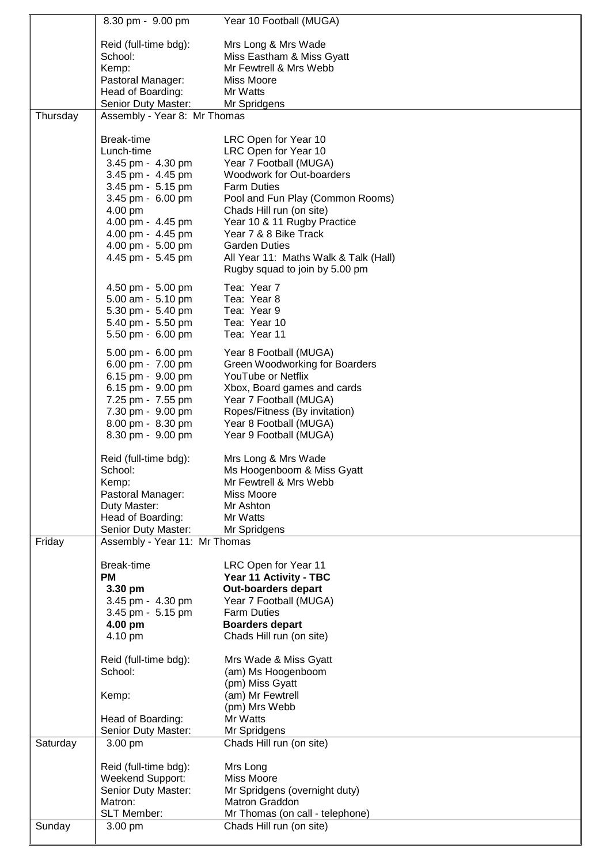|          | 8.30 pm - 9.00 pm                        | Year 10 Football (MUGA)                                                 |
|----------|------------------------------------------|-------------------------------------------------------------------------|
|          | Reid (full-time bdg):                    | Mrs Long & Mrs Wade                                                     |
|          | School:                                  | Miss Eastham & Miss Gyatt                                               |
|          | Kemp:                                    | Mr Fewtrell & Mrs Webb                                                  |
|          | Pastoral Manager:                        | Miss Moore                                                              |
|          | Head of Boarding:                        | Mr Watts                                                                |
|          | Senior Duty Master:                      | Mr Spridgens                                                            |
| Thursday | Assembly - Year 8: Mr Thomas             |                                                                         |
|          |                                          |                                                                         |
|          | Break-time                               | LRC Open for Year 10                                                    |
|          | Lunch-time                               | LRC Open for Year 10                                                    |
|          | 3.45 pm - 4.30 pm                        | Year 7 Football (MUGA)                                                  |
|          | 3.45 pm - 4.45 pm                        | Woodwork for Out-boarders                                               |
|          | 3.45 pm - 5.15 pm                        | <b>Farm Duties</b>                                                      |
|          | 3.45 pm - 6.00 pm                        | Pool and Fun Play (Common Rooms)                                        |
|          | 4.00 pm                                  | Chads Hill run (on site)                                                |
|          | 4.00 pm - 4.45 pm                        | Year 10 & 11 Rugby Practice                                             |
|          | 4.00 pm - 4.45 pm                        | Year 7 & 8 Bike Track                                                   |
|          | 4.00 pm - 5.00 pm<br>4.45 pm - 5.45 pm   | <b>Garden Duties</b>                                                    |
|          |                                          | All Year 11: Maths Walk & Talk (Hall)<br>Rugby squad to join by 5.00 pm |
|          | 4.50 pm - 5.00 pm                        | Tea: Year 7                                                             |
|          | 5.00 am - 5.10 pm                        | Tea: Year 8                                                             |
|          | 5.30 pm - 5.40 pm                        | Tea: Year 9                                                             |
|          | 5.40 pm - 5.50 pm                        | Tea: Year 10                                                            |
|          | 5.50 pm - 6.00 pm                        | Tea: Year 11                                                            |
|          | 5.00 pm - 6.00 pm                        | Year 8 Football (MUGA)                                                  |
|          | 6.00 pm - 7.00 pm                        | Green Woodworking for Boarders                                          |
|          | 6.15 pm - 9.00 pm                        | YouTube or Netflix                                                      |
|          | 6.15 pm - 9.00 pm                        | Xbox, Board games and cards                                             |
|          | 7.25 pm - 7.55 pm                        | Year 7 Football (MUGA)                                                  |
|          | 7.30 pm - 9.00 pm                        | Ropes/Fitness (By invitation)                                           |
|          | 8.00 pm - 8.30 pm                        | Year 8 Football (MUGA)                                                  |
|          | 8.30 pm - 9.00 pm                        | Year 9 Football (MUGA)                                                  |
|          | Reid (full-time bdg):                    | Mrs Long & Mrs Wade                                                     |
|          | School:                                  | Ms Hoogenboom & Miss Gyatt                                              |
|          | Kemp:                                    | Mr Fewtrell & Mrs Webb                                                  |
|          | Pastoral Manager:                        | Miss Moore                                                              |
|          | Duty Master:                             | Mr Ashton                                                               |
|          | Head of Boarding:                        | Mr Watts                                                                |
|          | Senior Duty Master:                      | Mr Spridgens                                                            |
| Friday   | Assembly - Year 11: Mr Thomas            |                                                                         |
|          |                                          |                                                                         |
|          | Break-time<br><b>PM</b>                  | LRC Open for Year 11                                                    |
|          | 3.30 pm                                  | Year 11 Activity - TBC<br><b>Out-boarders depart</b>                    |
|          | 3.45 pm - 4.30 pm                        | Year 7 Football (MUGA)                                                  |
|          | 3.45 pm - 5.15 pm                        | <b>Farm Duties</b>                                                      |
|          | 4.00 pm                                  | <b>Boarders depart</b>                                                  |
|          | 4.10 pm                                  | Chads Hill run (on site)                                                |
|          |                                          |                                                                         |
|          | Reid (full-time bdg):                    | Mrs Wade & Miss Gyatt                                                   |
|          | School:                                  | (am) Ms Hoogenboom                                                      |
|          |                                          | (pm) Miss Gyatt                                                         |
|          | Kemp:                                    | (am) Mr Fewtrell                                                        |
|          |                                          | (pm) Mrs Webb                                                           |
|          | Head of Boarding:<br>Senior Duty Master: | Mr Watts<br>Mr Spridgens                                                |
| Saturday | 3.00 pm                                  | Chads Hill run (on site)                                                |
|          |                                          |                                                                         |
|          | Reid (full-time bdg):                    | Mrs Long                                                                |
|          | Weekend Support:                         | Miss Moore                                                              |
|          | Senior Duty Master:                      | Mr Spridgens (overnight duty)                                           |
|          | Matron:<br><b>SLT Member:</b>            | <b>Matron Graddon</b><br>Mr Thomas (on call - telephone)                |
| Sunday   | 3.00 pm                                  | Chads Hill run (on site)                                                |
|          |                                          |                                                                         |